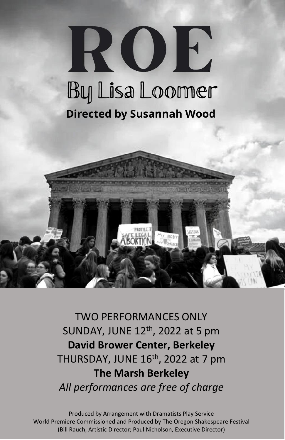# ROE **By Lisa Loomer Directed by Susannah Wood**



TWO PERFORMANCES ONLY SUNDAY, JUNE 12<sup>th</sup>, 2022 at 5 pm **David Brower Center, Berkeley** THURSDAY, JUNE 16<sup>th</sup>, 2022 at 7 pm **The Marsh Berkeley** *All performances are free of charge*

Produced by Arrangement with Dramatists Play Service World Premiere Commissioned and Produced by The Oregon Shakespeare Festival (Bill Rauch, Artistic Director; Paul Nicholson, Executive Director)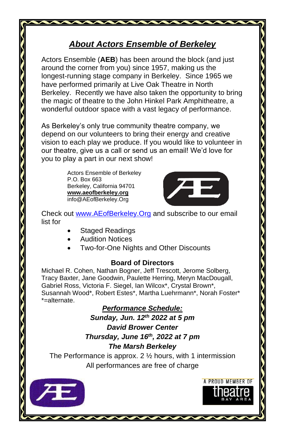# *About Actors Ensemble of Berkeley*

Actors Ensemble (**AEB**) has been around the block (and just around the corner from you) since 1957, making us the longest-running stage company in Berkeley. Since 1965 we have performed primarily at Live Oak Theatre in North Berkeley. Recently we have also taken the opportunity to bring the magic of theatre to the John Hinkel Park Amphitheatre, a wonderful outdoor space with a vast legacy of performance.

As Berkeley's only true community theatre company, we depend on our volunteers to bring their energy and creative vision to each play we produce. If you would like to volunteer in our theatre, give us a call or send us an email! We'd love for you to play a part in our next show!

> Actors Ensemble of Berkeley P.O. Box 663 Berkeley, California 94701 **www.aeofberkeley.org** info@AEofBerkeley.Org



A PROJID MEMBER OF

Check out [www.AEofBerkeley.Org](http://www.aeofberkeley.org/) and subscribe to our email list for

- Staged Readings
- Audition Notices
- Two-for-One Nights and Other Discounts

### **Board of Directors**

Michael R. Cohen, Nathan Bogner, Jeff Trescott, Jerome Solberg, Tracy Baxter, Jane Goodwin, Paulette Herring, Meryn MacDougall, Gabriel Ross, Victoria F. Siegel, Ian Wilcox\*, Crystal Brown\*, Susannah Wood\*, Robert Estes\*, Martha Luehrmann\*, Norah Foster\* \*=alternate.

## *Performance Schedule:*

*Sunday, Jun. 12 th 2022 at 5 pm*

*David Brower Center Thursday, June 16 th, 2022 at 7 pm The Marsh Berkeley*

The Performance is approx.  $2 \frac{1}{2}$  hours, with 1 intermission All performances are free of charge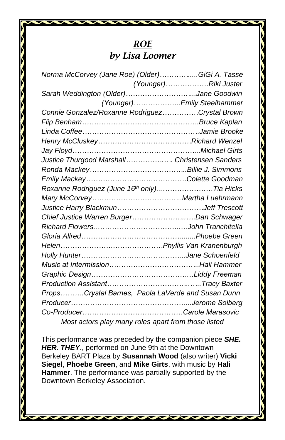# *ROE by Lisa Loomer*

| Norma McCorvey (Jane Roe) (Older)GiGi A. Tasse      |                             |
|-----------------------------------------------------|-----------------------------|
|                                                     | (Younger)Riki Juster        |
| Sarah Weddington (Older)Jane Goodwin                |                             |
|                                                     | (Younger) Emily Steelhammer |
| Connie Gonzalez/Roxanne RodriguezCrystal Brown      |                             |
|                                                     |                             |
|                                                     |                             |
|                                                     |                             |
|                                                     |                             |
| Justice Thurgood Marshall Christensen Sanders       |                             |
|                                                     |                             |
|                                                     |                             |
| Roxanne Rodriguez (June 16th only)Tia Hicks         |                             |
|                                                     |                             |
|                                                     |                             |
| Chief Justice Warren BurgerDan Schwager             |                             |
|                                                     |                             |
|                                                     |                             |
|                                                     |                             |
|                                                     |                             |
|                                                     |                             |
|                                                     |                             |
|                                                     |                             |
| PropsCrystal Barnes, Paola LaVerde and Susan Dunn   |                             |
|                                                     |                             |
|                                                     |                             |
| Most actors play many roles apart from those listed |                             |

This performance was preceded by the companion piece *SHE. HER. THEY*., performed on June 9th at the Downtown Berkeley BART Plaza by **Susannah Wood** (also writer) **Vicki Siegel**, **Phoebe Green**, and **Mike Girts**, with music by **Hali Hammer**. The performance was partially supported by the Downtown Berkeley Association.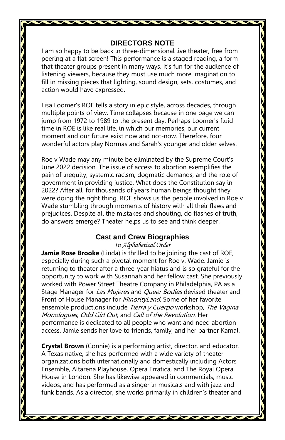#### **DIRECTORS NOTE**

I am so happy to be back in three-dimensional live theater, free from peering at a flat screen! This performance is a staged reading, a form that theater groups present in many ways. It's fun for the audience of listening viewers, because they must use much more imagination to fill in missing pieces that lighting, sound design, sets, costumes, and action would have expressed.

Lisa Loomer's ROE tells a story in epic style, across decades, through multiple points of view. Time collapses because in one page we can jump from 1972 to 1989 to the present day. Perhaps Loomer's fluid time in ROE is like real life, in which our memories, our current moment and our future exist now and not-now. Therefore, four wonderful actors play Normas and Sarah's younger and older selves.

Roe v Wade may any minute be eliminated by the Supreme Court's June 2022 decision. The issue of access to abortion exemplifies the pain of inequity, systemic racism, dogmatic demands, and the role of government in providing justice. What does the Constitution say in 2022? After all, for thousands of years human beings thought they were doing the right thing. ROE shows us the people involved in Roe v Wade stumbling through moments of history with all their flaws and prejudices. Despite all the mistakes and shouting, do flashes of truth, do answers emerge? Theater helps us to see and think deeper.

#### **Cast and Crew Biographies**

*In Alphabetical Order*

**Jamie Rose Brooke** (Linda) is thrilled to be joining the cast of ROE, especially during such a pivotal moment for Roe v. Wade. Jamie is returning to theater after a three-year hiatus and is so grateful for the opportunity to work with Susannah and her fellow cast. She previously worked with Power Street Theatre Company in Philadelphia, PA as a Stage Manager for Las Mujeres and Queer Bodies devised theater and Front of House Manager for MinorityLand. Some of her favorite ensemble productions include Tierra y Cuerpo workshop, The Vagina Monologues, Odd Girl Out, and Call of the Revolution. Her performance is dedicated to all people who want and need abortion access. Jamie sends her love to friends, family, and her partner Kamal.

**Crystal Brown** (Connie) is a performing artist, director, and educator. A Texas native, she has performed with a wide variety of theater organizations both internationally and domestically including Actors Ensemble, Altarena Playhouse, Opera Erratica, and The Royal Opera House in London. She has likewise appeared in commercials, music videos, and has performed as a singer in musicals and with jazz and funk bands. As a director, she works primarily in children's theater and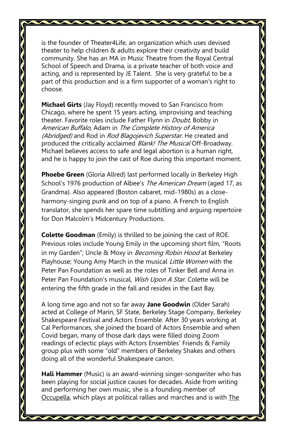is the founder of Theater4Life, an organization which uses devised theater to help children & adults explore their creativity and build community. She has an MA in Music Theatre from the Royal Central School of Speech and Drama, is a private teacher of both voice and acting, and is represented by JE Talent. She is very grateful to be a part of this production and is a firm supporter of a woman's right to choose.

**Michael Girts** (Jay Floyd) recently moved to San Francisco from Chicago, where he spent 15 years acting, improvising and teaching theater. Favorite roles include Father Flynn in *Doubt*, Bobby in American Buffalo, Adam in The Complete History of America (Abridged) and Rod in Rod Blagojevich Superstar. He created and produced the critically acclaimed Blank! The Musical Off-Broadway. Michael believes access to safe and legal abortion is a human right, and he is happy to join the cast of Roe during this important moment.

**Phoebe Green** (Gloria Allred) last performed locally in Berkeley High School's 1976 production of Albee's The American Dream (aged 17, as Grandma). Also appeared (Boston cabaret, mid-1980s) as a closeharmony-singing punk and on top of a piano. A French to English translator, she spends her spare time subtitling and arguing repertoire for Don Malcolm's Midcentury Productions.

**Colette Goodman** (Emily) is thrilled to be joining the cast of ROE. Previous roles include Young Emily in the upcoming short film, "Roots in my Garden"; Uncle & Moxy in *Becoming Robin Hood* at Berkeley Playhouse; Young Amy March in the musical *Little Women* with the Peter Pan Foundation as well as the roles of Tinker Bell and Anna in Peter Pan Foundation's musical, *Wish Upon A Star*. Colette will be entering the fifth grade in the fall and resides in the East Bay.

A long time ago and not so far away **Jane Goodwin** (Older Sarah) acted at College of Marin, SF State, Berkeley Stage Company, Berkeley Shakespeare Festival and Actors Ensemble. After 30 years working at Cal Performances, she joined the board of Actors Ensemble and when Covid began, many of those dark days were filled doing Zoom readings of eclectic plays with Actors Ensembles' Friends & Family group plus with some "old" members of Berkeley Shakes and others doing all of the wonderful Shakespeare canon.

**Hali Hammer** (Music) is an award-winning singer-songwriter who has been playing for social justice causes for decades. Aside from writing and performing her own music, she is a founding member of Occupella, which plays at political rallies and marches and is with The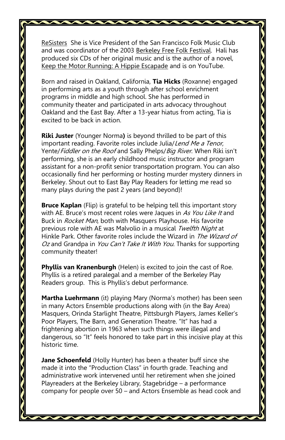ReSisters She is Vice President of the San Francisco Folk Music Club and was coordinator of the 2003 Berkeley Free Folk Festival. Hali has produced six CDs of her original music and is the author of a novel, Keep the Motor Running: A Hippie Escapade and is on YouTube.

Born and raised in Oakland, California, **Tia Hicks** (Roxanne) engaged in performing arts as a youth through after school enrichment programs in middle and high school. She has performed in community theater and participated in arts advocacy throughout Oakland and the East Bay. After a 13-year hiatus from acting, Tia is excited to be back in action.

**Riki Juster** (Younger Norma**)** is beyond thrilled to be part of this important reading. Favorite roles include Julia/Lend Me a Tenor, Yente/Fiddler on the Roof and Sally Phelps/Big River. When Riki isn't performing, she is an early childhood music instructor and program assistant for a non-profit senior transportation program. You can also occasionally find her performing or hosting murder mystery dinners in Berkeley. Shout out to East Bay Play Readers for letting me read so many plays during the past 2 years (and beyond)!

**Bruce Kaplan** (Flip) is grateful to be helping tell this important story with AE. Bruce's most recent roles were Jaques in As You Like It and Buck in Rocket Man, both with Masquers Playhouse. His favorite previous role with AE was Malvolio in a musical Twelfth Night at Hinkle Park. Other favorite roles include the Wizard in The Wizard of Oz and Grandpa in You Can't Take It With You. Thanks for supporting community theater!

**Phyllis van Kranenburgh** (Helen) is excited to join the cast of Roe. Phyllis is a retired paralegal and a member of the Berkeley Play Readers group. This is Phyllis's debut performance.

**Martha Luehrmann** (it) playing Mary (Norma's mother) has been seen in many Actors Ensemble productions along with (in the Bay Area) Masquers, Orinda Starlight Theatre, Pittsburgh Players, James Keller's Poor Players, The Barn, and Generation Theatre. "It" has had a frightening abortion in 1963 when such things were illegal and dangerous, so "It" feels honored to take part in this incisive play at this historic time.

**Jane Schoenfeld** (Holly Hunter) has been a theater buff since she made it into the "Production Class" in fourth grade. Teaching and administrative work intervened until her retirement when she joined Playreaders at the Berkeley Library, Stagebridge – a performance company for people over 50 – and Actors Ensemble as head cook and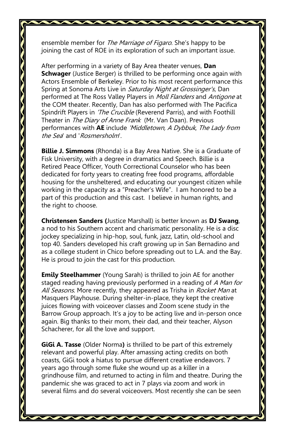ensemble member for The Marriage of Figaro. She's happy to be joining the cast of ROE in its exploration of such an important issue.

After performing in a variety of Bay Area theater venues, **Dan Schwager** (Justice Berger) is thrilled to be performing once again with Actors Ensemble of Berkeley. Prior to his most recent performance this Spring at Sonoma Arts Live in Saturday Night at Grossinger's, Dan performed at The Ross Valley Players in Moll Flanders and Antigone at the COM theater. Recently, Dan has also performed with The Pacifica Spindrift Players in 'The Crucible (Reverend Parris), and with Foothill Theater in The Diary of Anne Frank (Mr. Van Daan). Previous performances with **AE** include 'Middletown, A Dybbuk, The Lady from the Sea' and 'Rosmersholm'.

**Billie J. Simmons** (Rhonda) is a Bay Area Native. She is a Graduate of Fisk University, with a degree in dramatics and Speech. Billie is a Retired Peace Officer, Youth Correctional Counselor who has been dedicated for forty years to creating free food programs, affordable housing for the unsheltered, and educating our youngest citizen while working in the capacity as a "Preacher's Wife". I am honored to be a part of this production and this cast. I believe in human rights, and the right to choose.

**Christensen Sanders (**Justice Marshall) is better known as **DJ Swang**, a nod to his Southern accent and charismatic personality. He is a disc jockey specializing in hip-hop, soul, funk, jazz, Latin, old-school and top 40. Sanders developed his craft growing up in San Bernadino and as a college student in Chico before spreading out to L.A. and the Bay. He is proud to join the cast for this production.

**Emily Steelhammer** (Young Sarah) is thrilled to join AE for another staged reading having previously performed in a reading of A Man for All Seasons. More recently, they appeared as Trisha in Rocket Man at Masquers Playhouse. During shelter-in-place, they kept the creative juices flowing with voiceover classes and Zoom scene study in the Barrow Group approach. It's a joy to be acting live and in-person once again. Big thanks to their mom, their dad, and their teacher, Alyson Schacherer, for all the love and support.

**GiGi A. Tasse** (Older Norma**)** is thrilled to be part of this extremely relevant and powerful play. After amassing acting credits on both coasts, GiGi took a hiatus to pursue different creative endeavors. 7 years ago through some fluke she wound up as a killer in a grindhouse film, and returned to acting in film and theatre. During the pandemic she was graced to act in 7 plays via zoom and work in several films and do several voiceovers. Most recently she can be seen